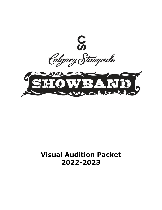

# **Visual Audition Packet 2022-2023**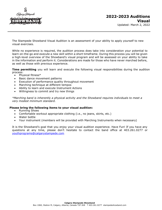

The Stampede Showband Visual Audition is an assessment of your ability to apply yourself to new visual exercises.

While no experience is required, the audition process does take into consideration your potential to learn on-the-go and execute a new skill within a short timeframe. During this process you will be given a high-level overview of the Showband's visual program and will be assessed on your ability to take in the information and perform it. Considerations are made for those who have never marched before, as well as those with previous experience.

**Time permitting** you will learn and execute the following visual responsibilities during the audition process:

- Physical fitness\*
- Basic dance movement patterns
- Execution of performance quality throughout movement
- Marching technique at different tempos
- Ability to learn and execute Instrument Actions
- Willingness to commit and try new things

*\*Marching band is inherently a physical activity and the Showband requires individuals to meet a very modest minimum standard.*

### **Please bring the following items to your visual audition:**

- Running Shoes
- Comfortable workout appropriate clothing (i.e., no jeans, skirts, etc.)
- Water bottle
- Your instrument (members will be provided with Marching Instruments when necessary)

It is the Showband's goal that you enjoy your visual audition experience. Have Fun! If you have any questions at any time, please don't hesitate to contact the band office at 403.261.0277 or [youthprograms@calgarystampede.com](mailto:youthprograms@calgarystampede.com)